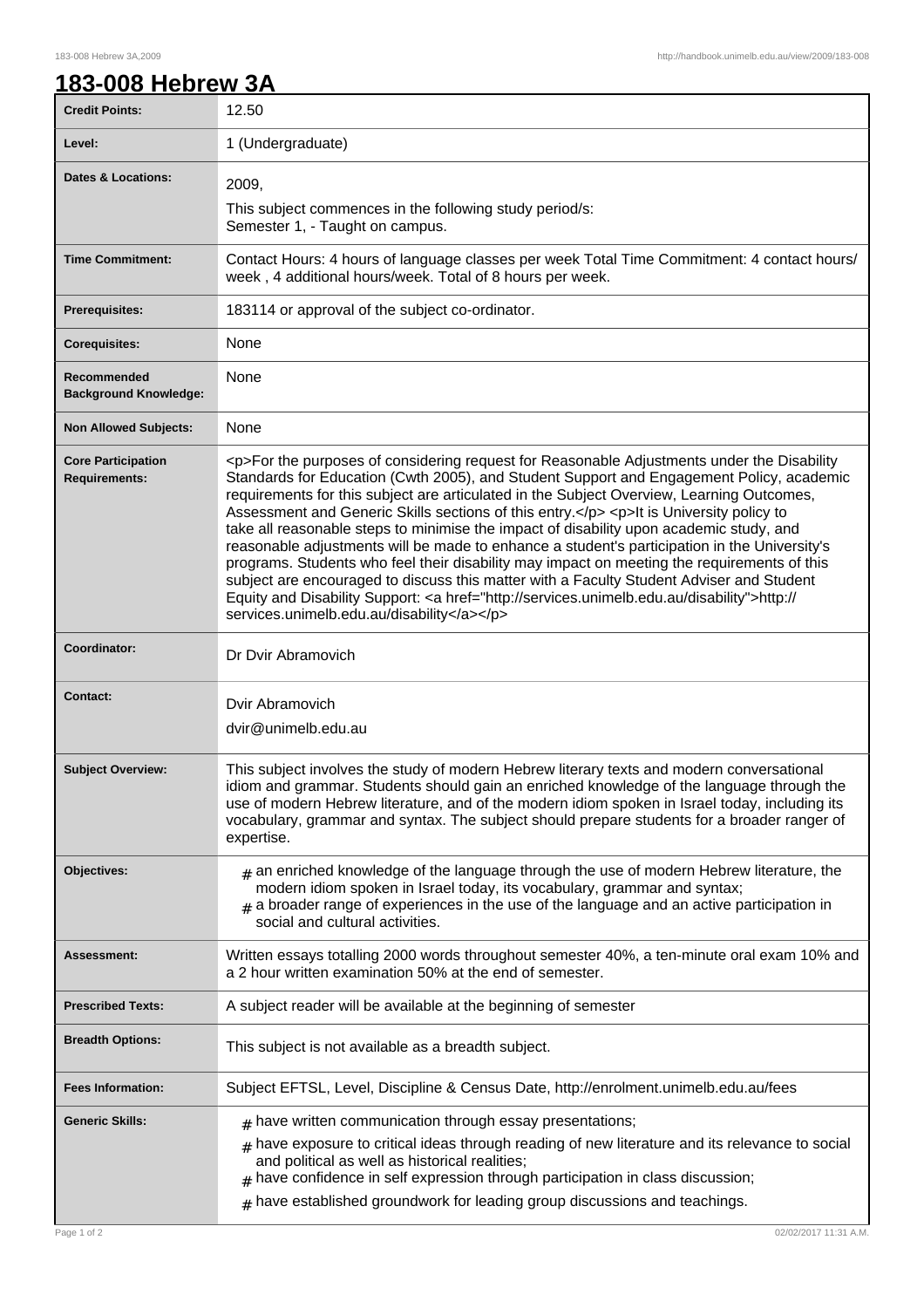## **183-008 Hebrew 3A**

| <b>Credit Points:</b>                             | 12.50                                                                                                                                                                                                                                                                                                                                                                                                                                                                                                                                                                                                                                                                                                                                                                                                                                                                                                                        |
|---------------------------------------------------|------------------------------------------------------------------------------------------------------------------------------------------------------------------------------------------------------------------------------------------------------------------------------------------------------------------------------------------------------------------------------------------------------------------------------------------------------------------------------------------------------------------------------------------------------------------------------------------------------------------------------------------------------------------------------------------------------------------------------------------------------------------------------------------------------------------------------------------------------------------------------------------------------------------------------|
| Level:                                            | 1 (Undergraduate)                                                                                                                                                                                                                                                                                                                                                                                                                                                                                                                                                                                                                                                                                                                                                                                                                                                                                                            |
| <b>Dates &amp; Locations:</b>                     | 2009,                                                                                                                                                                                                                                                                                                                                                                                                                                                                                                                                                                                                                                                                                                                                                                                                                                                                                                                        |
|                                                   | This subject commences in the following study period/s:<br>Semester 1, - Taught on campus.                                                                                                                                                                                                                                                                                                                                                                                                                                                                                                                                                                                                                                                                                                                                                                                                                                   |
| <b>Time Commitment:</b>                           | Contact Hours: 4 hours of language classes per week Total Time Commitment: 4 contact hours/<br>week, 4 additional hours/week. Total of 8 hours per week.                                                                                                                                                                                                                                                                                                                                                                                                                                                                                                                                                                                                                                                                                                                                                                     |
| <b>Prerequisites:</b>                             | 183114 or approval of the subject co-ordinator.                                                                                                                                                                                                                                                                                                                                                                                                                                                                                                                                                                                                                                                                                                                                                                                                                                                                              |
| <b>Corequisites:</b>                              | None                                                                                                                                                                                                                                                                                                                                                                                                                                                                                                                                                                                                                                                                                                                                                                                                                                                                                                                         |
| Recommended<br><b>Background Knowledge:</b>       | None                                                                                                                                                                                                                                                                                                                                                                                                                                                                                                                                                                                                                                                                                                                                                                                                                                                                                                                         |
| <b>Non Allowed Subjects:</b>                      | None                                                                                                                                                                                                                                                                                                                                                                                                                                                                                                                                                                                                                                                                                                                                                                                                                                                                                                                         |
| <b>Core Participation</b><br><b>Requirements:</b> | <p>For the purposes of considering request for Reasonable Adjustments under the Disability<br/>Standards for Education (Cwth 2005), and Student Support and Engagement Policy, academic<br/>requirements for this subject are articulated in the Subject Overview, Learning Outcomes,<br/>Assessment and Generic Skills sections of this entry.</p> <p>lt is University policy to<br/>take all reasonable steps to minimise the impact of disability upon academic study, and<br/>reasonable adjustments will be made to enhance a student's participation in the University's<br/>programs. Students who feel their disability may impact on meeting the requirements of this<br/>subject are encouraged to discuss this matter with a Faculty Student Adviser and Student<br/>Equity and Disability Support: &lt; a href="http://services.unimelb.edu.au/disability"&gt;http://<br/>services.unimelb.edu.au/disability</p> |
| Coordinator:                                      | Dr Dvir Abramovich                                                                                                                                                                                                                                                                                                                                                                                                                                                                                                                                                                                                                                                                                                                                                                                                                                                                                                           |
| <b>Contact:</b>                                   | Dvir Abramovich<br>dvir@unimelb.edu.au                                                                                                                                                                                                                                                                                                                                                                                                                                                                                                                                                                                                                                                                                                                                                                                                                                                                                       |
| <b>Subject Overview:</b>                          | This subject involves the study of modern Hebrew literary texts and modern conversational<br>idiom and grammar. Students should gain an enriched knowledge of the language through the<br>use of modern Hebrew literature, and of the modern idiom spoken in Israel today, including its<br>vocabulary, grammar and syntax. The subject should prepare students for a broader ranger of<br>expertise.                                                                                                                                                                                                                                                                                                                                                                                                                                                                                                                        |
| Objectives:                                       | $_{\texttt{\#}}$ an enriched knowledge of the language through the use of modern Hebrew literature, the<br>modern idiom spoken in Israel today, its vocabulary, grammar and syntax;<br>$_{\#}$ a broader range of experiences in the use of the language and an active participation in<br>social and cultural activities.                                                                                                                                                                                                                                                                                                                                                                                                                                                                                                                                                                                                   |
| <b>Assessment:</b>                                | Written essays totalling 2000 words throughout semester 40%, a ten-minute oral exam 10% and<br>a 2 hour written examination 50% at the end of semester.                                                                                                                                                                                                                                                                                                                                                                                                                                                                                                                                                                                                                                                                                                                                                                      |
| <b>Prescribed Texts:</b>                          | A subject reader will be available at the beginning of semester                                                                                                                                                                                                                                                                                                                                                                                                                                                                                                                                                                                                                                                                                                                                                                                                                                                              |
| <b>Breadth Options:</b>                           | This subject is not available as a breadth subject.                                                                                                                                                                                                                                                                                                                                                                                                                                                                                                                                                                                                                                                                                                                                                                                                                                                                          |
| <b>Fees Information:</b>                          | Subject EFTSL, Level, Discipline & Census Date, http://enrolment.unimelb.edu.au/fees                                                                                                                                                                                                                                                                                                                                                                                                                                                                                                                                                                                                                                                                                                                                                                                                                                         |
| <b>Generic Skills:</b>                            | $#$ have written communication through essay presentations;                                                                                                                                                                                                                                                                                                                                                                                                                                                                                                                                                                                                                                                                                                                                                                                                                                                                  |
|                                                   | $_{\#}$ have exposure to critical ideas through reading of new literature and its relevance to social<br>and political as well as historical realities;<br>$#$ have confidence in self expression through participation in class discussion;                                                                                                                                                                                                                                                                                                                                                                                                                                                                                                                                                                                                                                                                                 |
| Page 1 of 2                                       | $#$ have established groundwork for leading group discussions and teachings.<br>02/02/2017 11:31 A.M.                                                                                                                                                                                                                                                                                                                                                                                                                                                                                                                                                                                                                                                                                                                                                                                                                        |